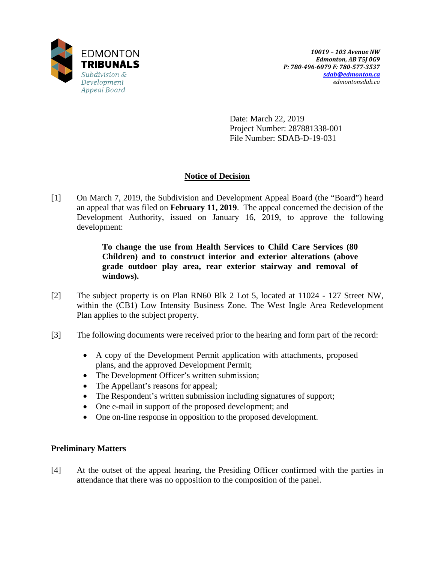

Date: March 22, 2019 Project Number: 287881338-001 File Number: SDAB-D-19-031

# **Notice of Decision**

[1] On March 7, 2019, the Subdivision and Development Appeal Board (the "Board") heard an appeal that was filed on **February 11, 2019**. The appeal concerned the decision of the Development Authority, issued on January 16, 2019, to approve the following development:

> **To change the use from Health Services to Child Care Services (80 Children) and to construct interior and exterior alterations (above grade outdoor play area, rear exterior stairway and removal of windows).**

- [2] The subject property is on Plan RN60 Blk 2 Lot 5, located at 11024 127 Street NW, within the (CB1) Low Intensity Business Zone. The West Ingle Area Redevelopment Plan applies to the subject property.
- [3] The following documents were received prior to the hearing and form part of the record:
	- A copy of the Development Permit application with attachments, proposed plans, and the approved Development Permit;
	- The Development Officer's written submission;
	- The Appellant's reasons for appeal;
	- The Respondent's written submission including signatures of support;
	- One e-mail in support of the proposed development; and
	- One on-line response in opposition to the proposed development.

# **Preliminary Matters**

[4] At the outset of the appeal hearing, the Presiding Officer confirmed with the parties in attendance that there was no opposition to the composition of the panel.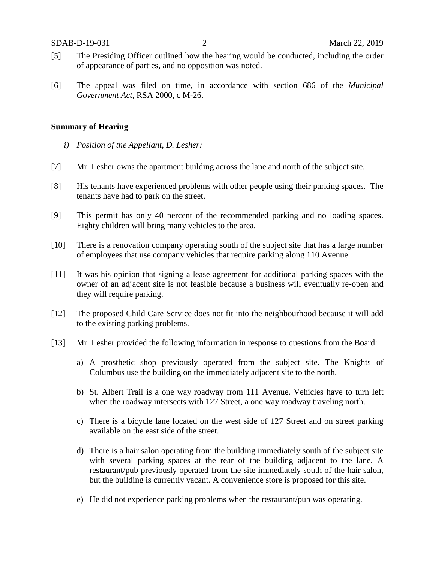- [5] The Presiding Officer outlined how the hearing would be conducted, including the order of appearance of parties, and no opposition was noted.
- [6] The appeal was filed on time, in accordance with section 686 of the *Municipal Government Act*, RSA 2000, c M-26.

#### **Summary of Hearing**

- *i) Position of the Appellant, D. Lesher:*
- [7] Mr. Lesher owns the apartment building across the lane and north of the subject site.
- [8] His tenants have experienced problems with other people using their parking spaces. The tenants have had to park on the street.
- [9] This permit has only 40 percent of the recommended parking and no loading spaces. Eighty children will bring many vehicles to the area.
- [10] There is a renovation company operating south of the subject site that has a large number of employees that use company vehicles that require parking along 110 Avenue.
- [11] It was his opinion that signing a lease agreement for additional parking spaces with the owner of an adjacent site is not feasible because a business will eventually re-open and they will require parking.
- [12] The proposed Child Care Service does not fit into the neighbourhood because it will add to the existing parking problems.
- [13] Mr. Lesher provided the following information in response to questions from the Board:
	- a) A prosthetic shop previously operated from the subject site. The Knights of Columbus use the building on the immediately adjacent site to the north.
	- b) St. Albert Trail is a one way roadway from 111 Avenue. Vehicles have to turn left when the roadway intersects with 127 Street, a one way roadway traveling north.
	- c) There is a bicycle lane located on the west side of 127 Street and on street parking available on the east side of the street.
	- d) There is a hair salon operating from the building immediately south of the subject site with several parking spaces at the rear of the building adjacent to the lane. A restaurant/pub previously operated from the site immediately south of the hair salon, but the building is currently vacant. A convenience store is proposed for this site.
	- e) He did not experience parking problems when the restaurant/pub was operating.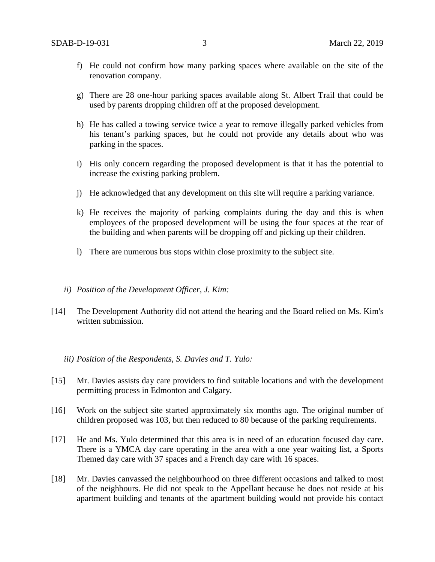- f) He could not confirm how many parking spaces where available on the site of the renovation company.
- g) There are 28 one-hour parking spaces available along St. Albert Trail that could be used by parents dropping children off at the proposed development.
- h) He has called a towing service twice a year to remove illegally parked vehicles from his tenant's parking spaces, but he could not provide any details about who was parking in the spaces.
- i) His only concern regarding the proposed development is that it has the potential to increase the existing parking problem.
- j) He acknowledged that any development on this site will require a parking variance.
- k) He receives the majority of parking complaints during the day and this is when employees of the proposed development will be using the four spaces at the rear of the building and when parents will be dropping off and picking up their children.
- l) There are numerous bus stops within close proximity to the subject site.
- *ii) Position of the Development Officer, J. Kim:*
- [14] The Development Authority did not attend the hearing and the Board relied on Ms. Kim's written submission.

### *iii) Position of the Respondents, S. Davies and T. Yulo:*

- [15] Mr. Davies assists day care providers to find suitable locations and with the development permitting process in Edmonton and Calgary.
- [16] Work on the subject site started approximately six months ago. The original number of children proposed was 103, but then reduced to 80 because of the parking requirements.
- [17] He and Ms. Yulo determined that this area is in need of an education focused day care. There is a YMCA day care operating in the area with a one year waiting list, a Sports Themed day care with 37 spaces and a French day care with 16 spaces.
- [18] Mr. Davies canvassed the neighbourhood on three different occasions and talked to most of the neighbours. He did not speak to the Appellant because he does not reside at his apartment building and tenants of the apartment building would not provide his contact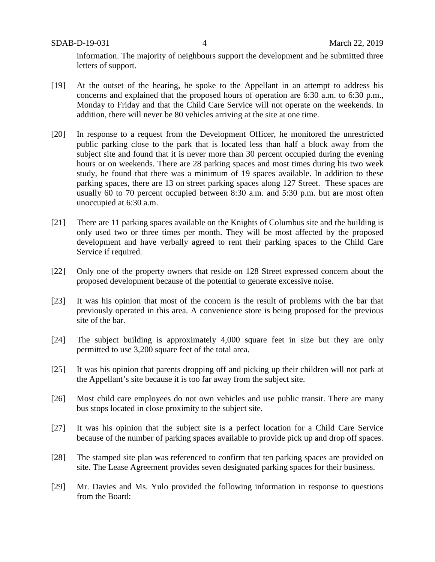SDAB-D-19-031 4 March 22, 2019

information. The majority of neighbours support the development and he submitted three letters of support.

- [19] At the outset of the hearing, he spoke to the Appellant in an attempt to address his concerns and explained that the proposed hours of operation are 6:30 a.m. to 6:30 p.m., Monday to Friday and that the Child Care Service will not operate on the weekends. In addition, there will never be 80 vehicles arriving at the site at one time.
- [20] In response to a request from the Development Officer, he monitored the unrestricted public parking close to the park that is located less than half a block away from the subject site and found that it is never more than 30 percent occupied during the evening hours or on weekends. There are 28 parking spaces and most times during his two week study, he found that there was a minimum of 19 spaces available. In addition to these parking spaces, there are 13 on street parking spaces along 127 Street. These spaces are usually 60 to 70 percent occupied between 8:30 a.m. and 5:30 p.m. but are most often unoccupied at 6:30 a.m.
- [21] There are 11 parking spaces available on the Knights of Columbus site and the building is only used two or three times per month. They will be most affected by the proposed development and have verbally agreed to rent their parking spaces to the Child Care Service if required.
- [22] Only one of the property owners that reside on 128 Street expressed concern about the proposed development because of the potential to generate excessive noise.
- [23] It was his opinion that most of the concern is the result of problems with the bar that previously operated in this area. A convenience store is being proposed for the previous site of the bar.
- [24] The subject building is approximately 4,000 square feet in size but they are only permitted to use 3,200 square feet of the total area.
- [25] It was his opinion that parents dropping off and picking up their children will not park at the Appellant's site because it is too far away from the subject site.
- [26] Most child care employees do not own vehicles and use public transit. There are many bus stops located in close proximity to the subject site.
- [27] It was his opinion that the subject site is a perfect location for a Child Care Service because of the number of parking spaces available to provide pick up and drop off spaces.
- [28] The stamped site plan was referenced to confirm that ten parking spaces are provided on site. The Lease Agreement provides seven designated parking spaces for their business.
- [29] Mr. Davies and Ms. Yulo provided the following information in response to questions from the Board: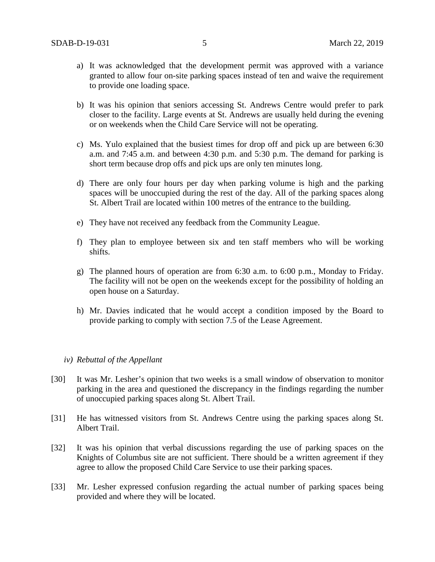- a) It was acknowledged that the development permit was approved with a variance granted to allow four on-site parking spaces instead of ten and waive the requirement to provide one loading space.
- b) It was his opinion that seniors accessing St. Andrews Centre would prefer to park closer to the facility. Large events at St. Andrews are usually held during the evening or on weekends when the Child Care Service will not be operating.
- c) Ms. Yulo explained that the busiest times for drop off and pick up are between 6:30 a.m. and 7:45 a.m. and between 4:30 p.m. and 5:30 p.m. The demand for parking is short term because drop offs and pick ups are only ten minutes long.
- d) There are only four hours per day when parking volume is high and the parking spaces will be unoccupied during the rest of the day. All of the parking spaces along St. Albert Trail are located within 100 metres of the entrance to the building.
- e) They have not received any feedback from the Community League.
- f) They plan to employee between six and ten staff members who will be working shifts.
- g) The planned hours of operation are from 6:30 a.m. to 6:00 p.m., Monday to Friday. The facility will not be open on the weekends except for the possibility of holding an open house on a Saturday.
- h) Mr. Davies indicated that he would accept a condition imposed by the Board to provide parking to comply with section 7.5 of the Lease Agreement.

### *iv) Rebuttal of the Appellant*

- [30] It was Mr. Lesher's opinion that two weeks is a small window of observation to monitor parking in the area and questioned the discrepancy in the findings regarding the number of unoccupied parking spaces along St. Albert Trail.
- [31] He has witnessed visitors from St. Andrews Centre using the parking spaces along St. Albert Trail.
- [32] It was his opinion that verbal discussions regarding the use of parking spaces on the Knights of Columbus site are not sufficient. There should be a written agreement if they agree to allow the proposed Child Care Service to use their parking spaces.
- [33] Mr. Lesher expressed confusion regarding the actual number of parking spaces being provided and where they will be located.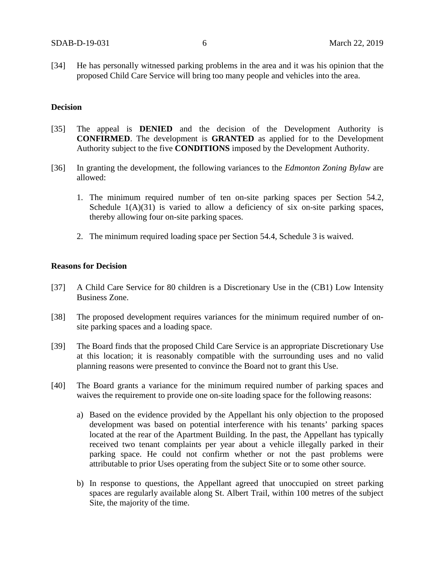[34] He has personally witnessed parking problems in the area and it was his opinion that the proposed Child Care Service will bring too many people and vehicles into the area.

# **Decision**

- [35] The appeal is **DENIED** and the decision of the Development Authority is **CONFIRMED**. The development is **GRANTED** as applied for to the Development Authority subject to the five **CONDITIONS** imposed by the Development Authority.
- [36] In granting the development, the following variances to the *Edmonton Zoning Bylaw* are allowed:
	- 1. The minimum required number of ten on-site parking spaces per Section 54.2, Schedule  $1(A)(31)$  is varied to allow a deficiency of six on-site parking spaces, thereby allowing four on-site parking spaces.
	- 2. The minimum required loading space per Section 54.4, Schedule 3 is waived.

# **Reasons for Decision**

- [37] A Child Care Service for 80 children is a Discretionary Use in the (CB1) Low Intensity Business Zone.
- [38] The proposed development requires variances for the minimum required number of onsite parking spaces and a loading space.
- [39] The Board finds that the proposed Child Care Service is an appropriate Discretionary Use at this location; it is reasonably compatible with the surrounding uses and no valid planning reasons were presented to convince the Board not to grant this Use.
- [40] The Board grants a variance for the minimum required number of parking spaces and waives the requirement to provide one on-site loading space for the following reasons:
	- a) Based on the evidence provided by the Appellant his only objection to the proposed development was based on potential interference with his tenants' parking spaces located at the rear of the Apartment Building. In the past, the Appellant has typically received two tenant complaints per year about a vehicle illegally parked in their parking space. He could not confirm whether or not the past problems were attributable to prior Uses operating from the subject Site or to some other source.
	- b) In response to questions, the Appellant agreed that unoccupied on street parking spaces are regularly available along St. Albert Trail, within 100 metres of the subject Site, the majority of the time.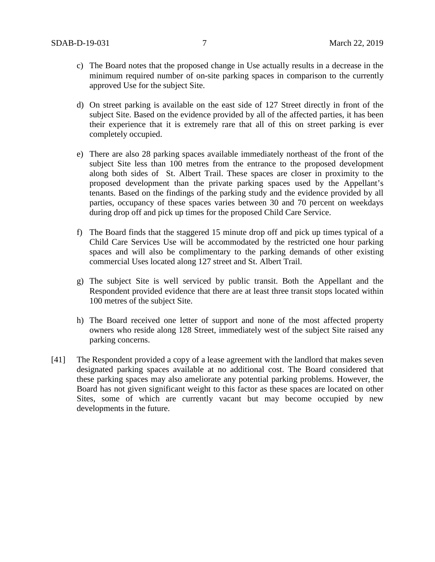- c) The Board notes that the proposed change in Use actually results in a decrease in the minimum required number of on-site parking spaces in comparison to the currently approved Use for the subject Site.
- d) On street parking is available on the east side of 127 Street directly in front of the subject Site. Based on the evidence provided by all of the affected parties, it has been their experience that it is extremely rare that all of this on street parking is ever completely occupied.
- e) There are also 28 parking spaces available immediately northeast of the front of the subject Site less than 100 metres from the entrance to the proposed development along both sides of St. Albert Trail. These spaces are closer in proximity to the proposed development than the private parking spaces used by the Appellant's tenants. Based on the findings of the parking study and the evidence provided by all parties, occupancy of these spaces varies between 30 and 70 percent on weekdays during drop off and pick up times for the proposed Child Care Service.
- f) The Board finds that the staggered 15 minute drop off and pick up times typical of a Child Care Services Use will be accommodated by the restricted one hour parking spaces and will also be complimentary to the parking demands of other existing commercial Uses located along 127 street and St. Albert Trail.
- g) The subject Site is well serviced by public transit. Both the Appellant and the Respondent provided evidence that there are at least three transit stops located within 100 metres of the subject Site.
- h) The Board received one letter of support and none of the most affected property owners who reside along 128 Street, immediately west of the subject Site raised any parking concerns.
- [41] The Respondent provided a copy of a lease agreement with the landlord that makes seven designated parking spaces available at no additional cost. The Board considered that these parking spaces may also ameliorate any potential parking problems. However, the Board has not given significant weight to this factor as these spaces are located on other Sites, some of which are currently vacant but may become occupied by new developments in the future.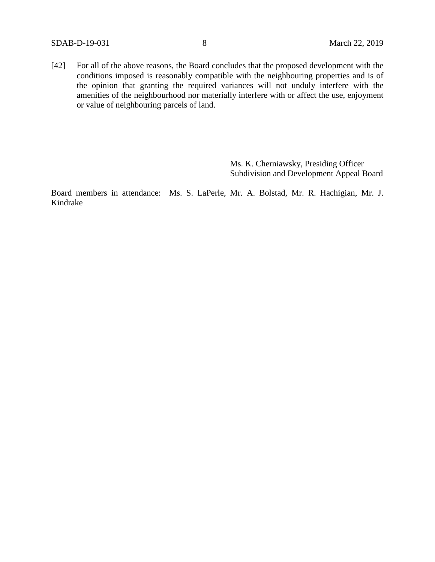[42] For all of the above reasons, the Board concludes that the proposed development with the conditions imposed is reasonably compatible with the neighbouring properties and is of the opinion that granting the required variances will not unduly interfere with the amenities of the neighbourhood nor materially interfere with or affect the use, enjoyment or value of neighbouring parcels of land.

> Ms. K. Cherniawsky, Presiding Officer Subdivision and Development Appeal Board

Board members in attendance: Ms. S. LaPerle, Mr. A. Bolstad, Mr. R. Hachigian, Mr. J. Kindrake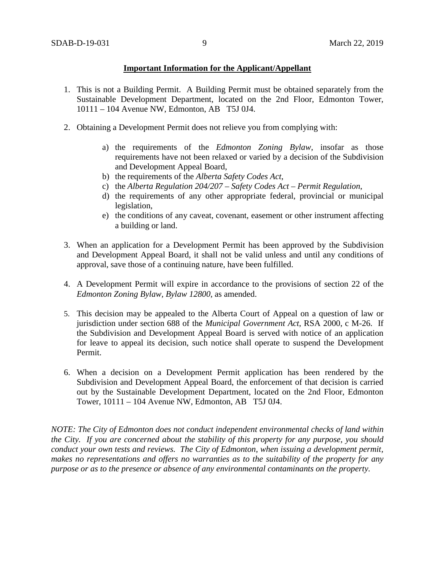# **Important Information for the Applicant/Appellant**

- 1. This is not a Building Permit. A Building Permit must be obtained separately from the Sustainable Development Department, located on the 2nd Floor, Edmonton Tower, 10111 – 104 Avenue NW, Edmonton, AB T5J 0J4.
- 2. Obtaining a Development Permit does not relieve you from complying with:
	- a) the requirements of the *Edmonton Zoning Bylaw*, insofar as those requirements have not been relaxed or varied by a decision of the Subdivision and Development Appeal Board,
	- b) the requirements of the *Alberta Safety Codes Act*,
	- c) the *Alberta Regulation 204/207 – Safety Codes Act – Permit Regulation*,
	- d) the requirements of any other appropriate federal, provincial or municipal legislation,
	- e) the conditions of any caveat, covenant, easement or other instrument affecting a building or land.
- 3. When an application for a Development Permit has been approved by the Subdivision and Development Appeal Board, it shall not be valid unless and until any conditions of approval, save those of a continuing nature, have been fulfilled.
- 4. A Development Permit will expire in accordance to the provisions of section 22 of the *Edmonton Zoning Bylaw, Bylaw 12800*, as amended.
- 5. This decision may be appealed to the Alberta Court of Appeal on a question of law or jurisdiction under section 688 of the *Municipal Government Act*, RSA 2000, c M-26. If the Subdivision and Development Appeal Board is served with notice of an application for leave to appeal its decision, such notice shall operate to suspend the Development Permit.
- 6. When a decision on a Development Permit application has been rendered by the Subdivision and Development Appeal Board, the enforcement of that decision is carried out by the Sustainable Development Department, located on the 2nd Floor, Edmonton Tower, 10111 – 104 Avenue NW, Edmonton, AB T5J 0J4.

*NOTE: The City of Edmonton does not conduct independent environmental checks of land within the City. If you are concerned about the stability of this property for any purpose, you should conduct your own tests and reviews. The City of Edmonton, when issuing a development permit, makes no representations and offers no warranties as to the suitability of the property for any purpose or as to the presence or absence of any environmental contaminants on the property.*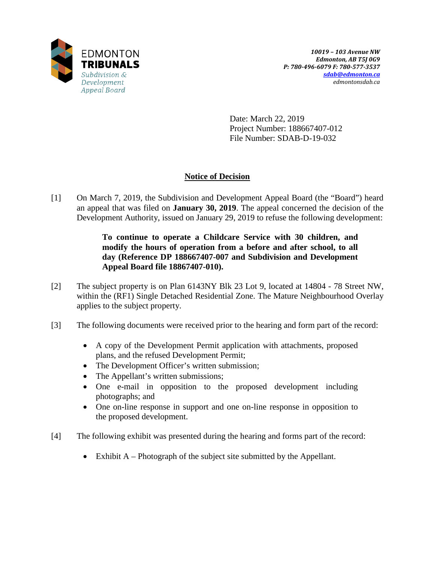

Date: March 22, 2019 Project Number: 188667407-012 File Number: SDAB-D-19-032

# **Notice of Decision**

[1] On March 7, 2019, the Subdivision and Development Appeal Board (the "Board") heard an appeal that was filed on **January 30, 2019**. The appeal concerned the decision of the Development Authority, issued on January 29, 2019 to refuse the following development:

# **To continue to operate a Childcare Service with 30 children, and modify the hours of operation from a before and after school, to all day (Reference DP 188667407-007 and Subdivision and Development Appeal Board file 18867407-010).**

- [2] The subject property is on Plan 6143NY Blk 23 Lot 9, located at 14804 78 Street NW, within the (RF1) Single Detached Residential Zone. The Mature Neighbourhood Overlay applies to the subject property.
- [3] The following documents were received prior to the hearing and form part of the record:
	- A copy of the Development Permit application with attachments, proposed plans, and the refused Development Permit;
	- The Development Officer's written submission;
	- The Appellant's written submissions;
	- One e-mail in opposition to the proposed development including photographs; and
	- One on-line response in support and one on-line response in opposition to the proposed development.
- [4] The following exhibit was presented during the hearing and forms part of the record:
	- Exhibit A Photograph of the subject site submitted by the Appellant.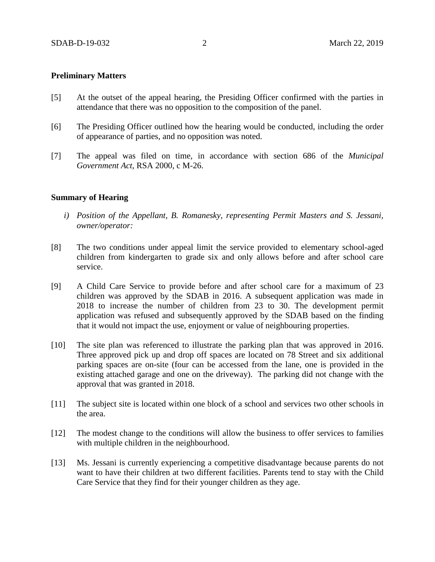### **Preliminary Matters**

- [5] At the outset of the appeal hearing, the Presiding Officer confirmed with the parties in attendance that there was no opposition to the composition of the panel.
- [6] The Presiding Officer outlined how the hearing would be conducted, including the order of appearance of parties, and no opposition was noted.
- [7] The appeal was filed on time, in accordance with section 686 of the *Municipal Government Act*, RSA 2000, c M-26.

### **Summary of Hearing**

- *i) Position of the Appellant, B. Romanesky, representing Permit Masters and S. Jessani, owner/operator:*
- [8] The two conditions under appeal limit the service provided to elementary school-aged children from kindergarten to grade six and only allows before and after school care service.
- [9] A Child Care Service to provide before and after school care for a maximum of 23 children was approved by the SDAB in 2016. A subsequent application was made in 2018 to increase the number of children from 23 to 30. The development permit application was refused and subsequently approved by the SDAB based on the finding that it would not impact the use, enjoyment or value of neighbouring properties.
- [10] The site plan was referenced to illustrate the parking plan that was approved in 2016. Three approved pick up and drop off spaces are located on 78 Street and six additional parking spaces are on-site (four can be accessed from the lane, one is provided in the existing attached garage and one on the driveway). The parking did not change with the approval that was granted in 2018.
- [11] The subject site is located within one block of a school and services two other schools in the area.
- [12] The modest change to the conditions will allow the business to offer services to families with multiple children in the neighbourhood.
- [13] Ms. Jessani is currently experiencing a competitive disadvantage because parents do not want to have their children at two different facilities. Parents tend to stay with the Child Care Service that they find for their younger children as they age.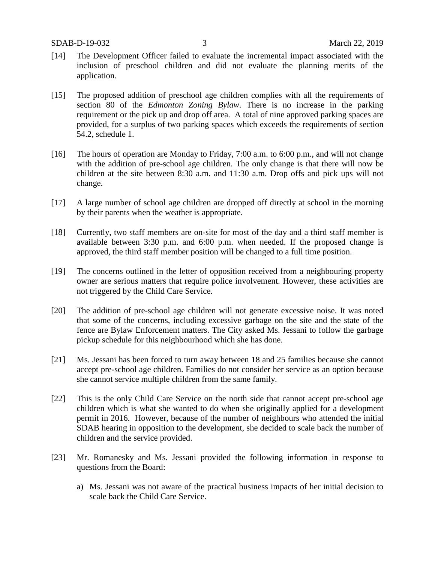- [14] The Development Officer failed to evaluate the incremental impact associated with the inclusion of preschool children and did not evaluate the planning merits of the application.
- [15] The proposed addition of preschool age children complies with all the requirements of section 80 of the *Edmonton Zoning Bylaw*. There is no increase in the parking requirement or the pick up and drop off area. A total of nine approved parking spaces are provided, for a surplus of two parking spaces which exceeds the requirements of section 54.2, schedule 1.
- [16] The hours of operation are Monday to Friday, 7:00 a.m. to 6:00 p.m., and will not change with the addition of pre-school age children. The only change is that there will now be children at the site between 8:30 a.m. and 11:30 a.m. Drop offs and pick ups will not change.
- [17] A large number of school age children are dropped off directly at school in the morning by their parents when the weather is appropriate.
- [18] Currently, two staff members are on-site for most of the day and a third staff member is available between 3:30 p.m. and 6:00 p.m. when needed. If the proposed change is approved, the third staff member position will be changed to a full time position.
- [19] The concerns outlined in the letter of opposition received from a neighbouring property owner are serious matters that require police involvement. However, these activities are not triggered by the Child Care Service.
- [20] The addition of pre-school age children will not generate excessive noise. It was noted that some of the concerns, including excessive garbage on the site and the state of the fence are Bylaw Enforcement matters. The City asked Ms. Jessani to follow the garbage pickup schedule for this neighbourhood which she has done.
- [21] Ms. Jessani has been forced to turn away between 18 and 25 families because she cannot accept pre-school age children. Families do not consider her service as an option because she cannot service multiple children from the same family.
- [22] This is the only Child Care Service on the north side that cannot accept pre-school age children which is what she wanted to do when she originally applied for a development permit in 2016. However, because of the number of neighbours who attended the initial SDAB hearing in opposition to the development, she decided to scale back the number of children and the service provided.
- [23] Mr. Romanesky and Ms. Jessani provided the following information in response to questions from the Board:
	- a) Ms. Jessani was not aware of the practical business impacts of her initial decision to scale back the Child Care Service.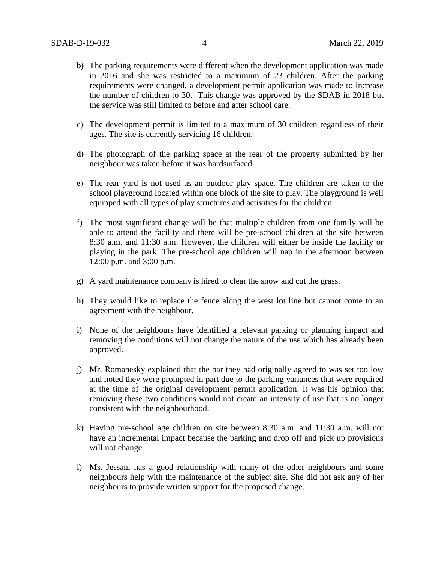- b) The parking requirements were different when the development application was made in 2016 and she was restricted to a maximum of 23 children. After the parking requirements were changed, a development permit application was made to increase the number of children to 30. This change was approved by the SDAB in 2018 but the service was still limited to before and after school care.
- c) The development permit is limited to a maximum of 30 children regardless of their ages. The site is currently servicing 16 children.
- d) The photograph of the parking space at the rear of the property submitted by her neighbour was taken before it was hardsurfaced.
- e) The rear yard is not used as an outdoor play space. The children are taken to the school playground located within one block of the site to play. The playground is well equipped with all types of play structures and activities for the children.
- f) The most significant change will be that multiple children from one family will be able to attend the facility and there will be pre-school children at the site between 8:30 a.m. and 11:30 a.m. However, the children will either be inside the facility or playing in the park. The pre-school age children will nap in the afternoon between 12:00 p.m. and 3:00 p.m.
- g) A yard maintenance company is hired to clear the snow and cut the grass.
- h) They would like to replace the fence along the west lot line but cannot come to an agreement with the neighbour.
- i) None of the neighbours have identified a relevant parking or planning impact and removing the conditions will not change the nature of the use which has already been approved.
- j) Mr. Romanesky explained that the bar they had originally agreed to was set too low and noted they were prompted in part due to the parking variances that were required at the time of the original development permit application. It was his opinion that removing these two conditions would not create an intensity of use that is no longer consistent with the neighbourhood.
- k) Having pre-school age children on site between 8:30 a.m. and 11:30 a.m. will not have an incremental impact because the parking and drop off and pick up provisions will not change.
- l) Ms. Jessani has a good relationship with many of the other neighbours and some neighbours help with the maintenance of the subject site. She did not ask any of her neighbours to provide written support for the proposed change.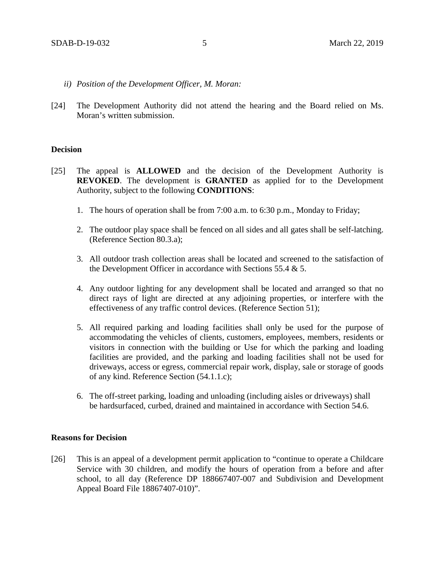- *ii) Position of the Development Officer, M. Moran:*
- [24] The Development Authority did not attend the hearing and the Board relied on Ms. Moran's written submission.

### **Decision**

- [25] The appeal is **ALLOWED** and the decision of the Development Authority is **REVOKED**. The development is **GRANTED** as applied for to the Development Authority, subject to the following **CONDITIONS**:
	- 1. The hours of operation shall be from 7:00 a.m. to 6:30 p.m., Monday to Friday;
	- 2. The outdoor play space shall be fenced on all sides and all gates shall be self-latching. (Reference Section 80.3.a);
	- 3. All outdoor trash collection areas shall be located and screened to the satisfaction of the Development Officer in accordance with Sections 55.4 & 5.
	- 4. Any outdoor lighting for any development shall be located and arranged so that no direct rays of light are directed at any adjoining properties, or interfere with the effectiveness of any traffic control devices. (Reference Section 51);
	- 5. All required parking and loading facilities shall only be used for the purpose of accommodating the vehicles of clients, customers, employees, members, residents or visitors in connection with the building or Use for which the parking and loading facilities are provided, and the parking and loading facilities shall not be used for driveways, access or egress, commercial repair work, display, sale or storage of goods of any kind. Reference Section (54.1.1.c);
	- 6. The off-street parking, loading and unloading (including aisles or driveways) shall be hardsurfaced, curbed, drained and maintained in accordance with Section 54.6.

# **Reasons for Decision**

[26] This is an appeal of a development permit application to "continue to operate a Childcare Service with 30 children, and modify the hours of operation from a before and after school, to all day (Reference DP 188667407-007 and Subdivision and Development Appeal Board File 18867407-010)".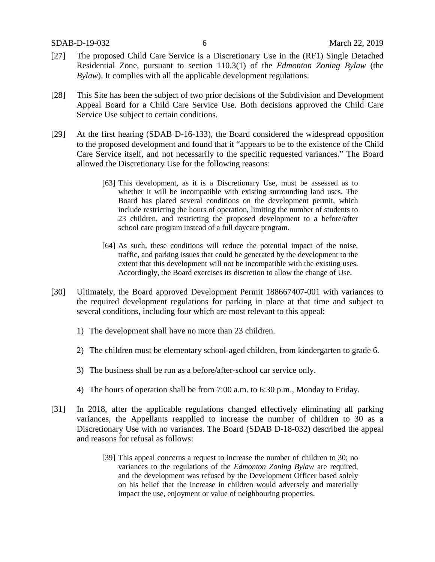- [27] The proposed Child Care Service is a Discretionary Use in the (RF1) Single Detached Residential Zone, pursuant to section 110.3(1) of the *Edmonton Zoning Bylaw* (the *Bylaw*). It complies with all the applicable development regulations.
- [28] This Site has been the subject of two prior decisions of the Subdivision and Development Appeal Board for a Child Care Service Use. Both decisions approved the Child Care Service Use subject to certain conditions.
- [29] At the first hearing (SDAB D-16-133), the Board considered the widespread opposition to the proposed development and found that it "appears to be to the existence of the Child Care Service itself, and not necessarily to the specific requested variances." The Board allowed the Discretionary Use for the following reasons:
	- [63] This development, as it is a Discretionary Use, must be assessed as to whether it will be incompatible with existing surrounding land uses. The Board has placed several conditions on the development permit, which include restricting the hours of operation, limiting the number of students to 23 children, and restricting the proposed development to a before/after school care program instead of a full daycare program.
	- [64] As such, these conditions will reduce the potential impact of the noise, traffic, and parking issues that could be generated by the development to the extent that this development will not be incompatible with the existing uses. Accordingly, the Board exercises its discretion to allow the change of Use.
- [30] Ultimately, the Board approved Development Permit 188667407-001 with variances to the required development regulations for parking in place at that time and subject to several conditions, including four which are most relevant to this appeal:
	- 1) The development shall have no more than 23 children.
	- 2) The children must be elementary school-aged children, from kindergarten to grade 6.
	- 3) The business shall be run as a before/after-school car service only.
	- 4) The hours of operation shall be from 7:00 a.m. to 6:30 p.m., Monday to Friday.
- [31] In 2018, after the applicable regulations changed effectively eliminating all parking variances, the Appellants reapplied to increase the number of children to 30 as a Discretionary Use with no variances. The Board (SDAB D-18-032) described the appeal and reasons for refusal as follows:
	- [39] This appeal concerns a request to increase the number of children to 30; no variances to the regulations of the *Edmonton Zoning Bylaw* are required, and the development was refused by the Development Officer based solely on his belief that the increase in children would adversely and materially impact the use, enjoyment or value of neighbouring properties.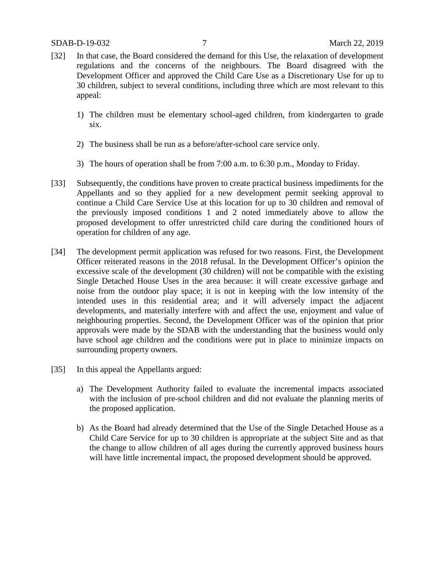- [32] In that case, the Board considered the demand for this Use, the relaxation of development regulations and the concerns of the neighbours. The Board disagreed with the Development Officer and approved the Child Care Use as a Discretionary Use for up to 30 children, subject to several conditions, including three which are most relevant to this appeal:
	- 1) The children must be elementary school-aged children, from kindergarten to grade six.
	- 2) The business shall be run as a before/after-school care service only.
	- 3) The hours of operation shall be from 7:00 a.m. to 6:30 p.m., Monday to Friday.
- [33] Subsequently, the conditions have proven to create practical business impediments for the Appellants and so they applied for a new development permit seeking approval to continue a Child Care Service Use at this location for up to 30 children and removal of the previously imposed conditions 1 and 2 noted immediately above to allow the proposed development to offer unrestricted child care during the conditioned hours of operation for children of any age.
- [34] The development permit application was refused for two reasons. First, the Development Officer reiterated reasons in the 2018 refusal. In the Development Officer's opinion the excessive scale of the development (30 children) will not be compatible with the existing Single Detached House Uses in the area because: it will create excessive garbage and noise from the outdoor play space; it is not in keeping with the low intensity of the intended uses in this residential area; and it will adversely impact the adjacent developments, and materially interfere with and affect the use, enjoyment and value of neighbouring properties. Second, the Development Officer was of the opinion that prior approvals were made by the SDAB with the understanding that the business would only have school age children and the conditions were put in place to minimize impacts on surrounding property owners.
- [35] In this appeal the Appellants argued:
	- a) The Development Authority failed to evaluate the incremental impacts associated with the inclusion of pre-school children and did not evaluate the planning merits of the proposed application.
	- b) As the Board had already determined that the Use of the Single Detached House as a Child Care Service for up to 30 children is appropriate at the subject Site and as that the change to allow children of all ages during the currently approved business hours will have little incremental impact, the proposed development should be approved.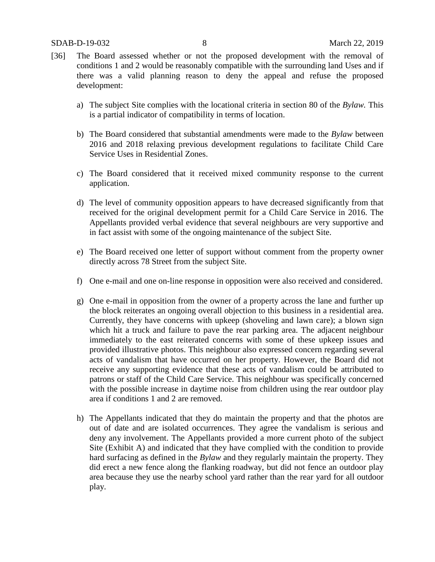- [36] The Board assessed whether or not the proposed development with the removal of conditions 1 and 2 would be reasonably compatible with the surrounding land Uses and if there was a valid planning reason to deny the appeal and refuse the proposed development:
	- a) The subject Site complies with the locational criteria in section 80 of the *Bylaw.* This is a partial indicator of compatibility in terms of location.
	- b) The Board considered that substantial amendments were made to the *Bylaw* between 2016 and 2018 relaxing previous development regulations to facilitate Child Care Service Uses in Residential Zones.
	- c) The Board considered that it received mixed community response to the current application.
	- d) The level of community opposition appears to have decreased significantly from that received for the original development permit for a Child Care Service in 2016. The Appellants provided verbal evidence that several neighbours are very supportive and in fact assist with some of the ongoing maintenance of the subject Site.
	- e) The Board received one letter of support without comment from the property owner directly across 78 Street from the subject Site.
	- f) One e-mail and one on-line response in opposition were also received and considered.
	- g) One e-mail in opposition from the owner of a property across the lane and further up the block reiterates an ongoing overall objection to this business in a residential area. Currently, they have concerns with upkeep (shoveling and lawn care); a blown sign which hit a truck and failure to pave the rear parking area. The adjacent neighbour immediately to the east reiterated concerns with some of these upkeep issues and provided illustrative photos. This neighbour also expressed concern regarding several acts of vandalism that have occurred on her property. However, the Board did not receive any supporting evidence that these acts of vandalism could be attributed to patrons or staff of the Child Care Service. This neighbour was specifically concerned with the possible increase in daytime noise from children using the rear outdoor play area if conditions 1 and 2 are removed.
	- h) The Appellants indicated that they do maintain the property and that the photos are out of date and are isolated occurrences. They agree the vandalism is serious and deny any involvement. The Appellants provided a more current photo of the subject Site (Exhibit A) and indicated that they have complied with the condition to provide hard surfacing as defined in the *Bylaw* and they regularly maintain the property. They did erect a new fence along the flanking roadway, but did not fence an outdoor play area because they use the nearby school yard rather than the rear yard for all outdoor play.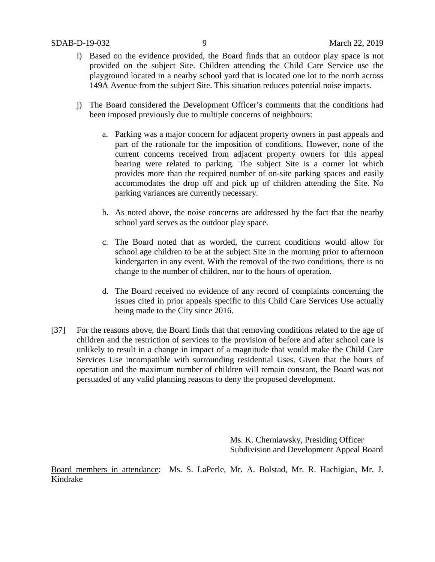- i) Based on the evidence provided, the Board finds that an outdoor play space is not provided on the subject Site. Children attending the Child Care Service use the playground located in a nearby school yard that is located one lot to the north across 149A Avenue from the subject Site. This situation reduces potential noise impacts.
- j) The Board considered the Development Officer's comments that the conditions had been imposed previously due to multiple concerns of neighbours:
	- a. Parking was a major concern for adjacent property owners in past appeals and part of the rationale for the imposition of conditions. However, none of the current concerns received from adjacent property owners for this appeal hearing were related to parking. The subject Site is a corner lot which provides more than the required number of on-site parking spaces and easily accommodates the drop off and pick up of children attending the Site. No parking variances are currently necessary.
	- b. As noted above, the noise concerns are addressed by the fact that the nearby school yard serves as the outdoor play space.
	- c. The Board noted that as worded, the current conditions would allow for school age children to be at the subject Site in the morning prior to afternoon kindergarten in any event. With the removal of the two conditions, there is no change to the number of children, nor to the hours of operation.
	- d. The Board received no evidence of any record of complaints concerning the issues cited in prior appeals specific to this Child Care Services Use actually being made to the City since 2016.
- [37] For the reasons above, the Board finds that that removing conditions related to the age of children and the restriction of services to the provision of before and after school care is unlikely to result in a change in impact of a magnitude that would make the Child Care Services Use incompatible with surrounding residential Uses. Given that the hours of operation and the maximum number of children will remain constant, the Board was not persuaded of any valid planning reasons to deny the proposed development.

Ms. K. Cherniawsky, Presiding Officer Subdivision and Development Appeal Board

Board members in attendance: Ms. S. LaPerle, Mr. A. Bolstad, Mr. R. Hachigian, Mr. J. Kindrake